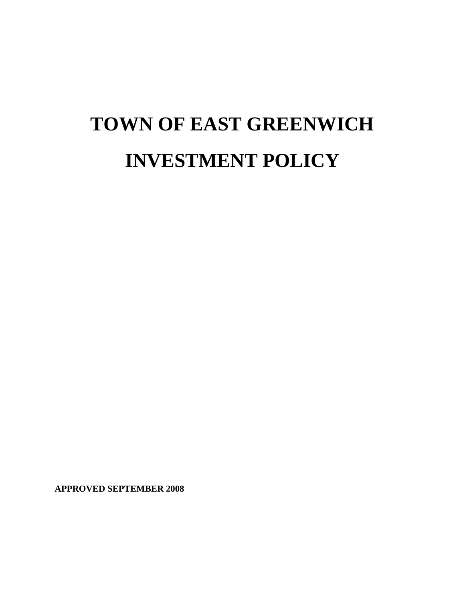# **TOWN OF EAST GREENWICH INVESTMENT POLICY**

**APPROVED SEPTEMBER 2008**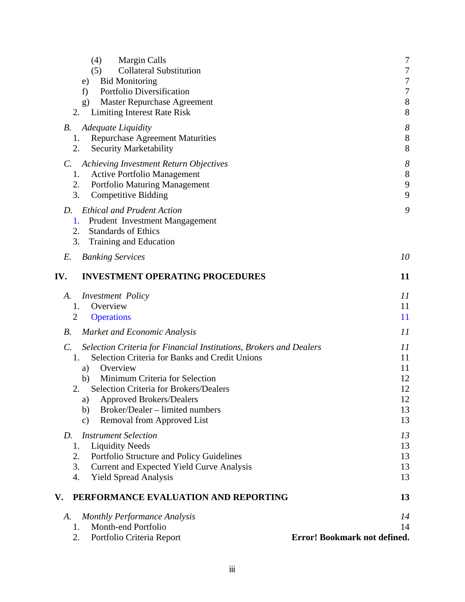| (4)<br><b>Margin Calls</b><br>(5)<br><b>Collateral Substitution</b><br><b>Bid Monitoring</b><br>e)<br>Portfolio Diversification<br>f)<br><b>Master Repurchase Agreement</b><br>g)                                                                                                                                                                                                               | 7<br>$\tau$<br>$\overline{7}$<br>$\overline{7}$<br>$8\,$ |
|-------------------------------------------------------------------------------------------------------------------------------------------------------------------------------------------------------------------------------------------------------------------------------------------------------------------------------------------------------------------------------------------------|----------------------------------------------------------|
| 2.<br><b>Limiting Interest Rate Risk</b><br><b>Adequate Liquidity</b><br>В.<br><b>Repurchase Agreement Maturities</b><br>1.<br>2.<br><b>Security Marketability</b>                                                                                                                                                                                                                              | 8<br>$\delta$<br>8<br>8                                  |
| <b>Achieving Investment Return Objectives</b><br>$\mathcal{C}$ .<br><b>Active Portfolio Management</b><br>1.<br>2.<br><b>Portfolio Maturing Management</b><br>3.<br><b>Competitive Bidding</b>                                                                                                                                                                                                  | $\delta$<br>8<br>9<br>9                                  |
| <b>Ethical and Prudent Action</b><br>D.<br>Prudent Investment Mangagement<br>1.<br>2.<br><b>Standards of Ethics</b><br>3.<br>Training and Education                                                                                                                                                                                                                                             | 9                                                        |
| E.<br><b>Banking Services</b>                                                                                                                                                                                                                                                                                                                                                                   | 10                                                       |
| <b>INVESTMENT OPERATING PROCEDURES</b><br>IV.                                                                                                                                                                                                                                                                                                                                                   | 11                                                       |
| <i>Investment Policy</i><br>А.<br>Overview<br>1.<br>$\overline{2}$<br><b>Operations</b>                                                                                                                                                                                                                                                                                                         | 11<br>11<br>11                                           |
| <i>B</i> .<br><b>Market and Economic Analysis</b>                                                                                                                                                                                                                                                                                                                                               | 11                                                       |
| Selection Criteria for Financial Institutions, Brokers and Dealers<br>$\mathcal{C}$ .<br>Selection Criteria for Banks and Credit Unions<br>1.<br>Overview<br>a)<br>Minimum Criteria for Selection<br>b)<br><b>Selection Criteria for Brokers/Dealers</b><br>2.<br><b>Approved Brokers/Dealers</b><br>a)<br>Broker/Dealer – limited numbers<br>b)<br>Removal from Approved List<br>$\mathbf{c})$ | 11<br>11<br>11<br>12<br>12<br>12<br>13<br>13             |
| <b>Instrument Selection</b><br>D.<br><b>Liquidity Needs</b><br>1.<br>Portfolio Structure and Policy Guidelines<br>2.<br>3.<br><b>Current and Expected Yield Curve Analysis</b><br><b>Yield Spread Analysis</b><br>4.                                                                                                                                                                            | 13<br>13<br>13<br>13<br>13                               |
| PERFORMANCE EVALUATION AND REPORTING<br>V.                                                                                                                                                                                                                                                                                                                                                      | 13                                                       |
| <b>Monthly Performance Analysis</b><br>А.<br>Month-end Portfolio<br>1.<br>2.<br>Portfolio Criteria Report                                                                                                                                                                                                                                                                                       | 14<br>14<br>Error! Bookmark not defined.                 |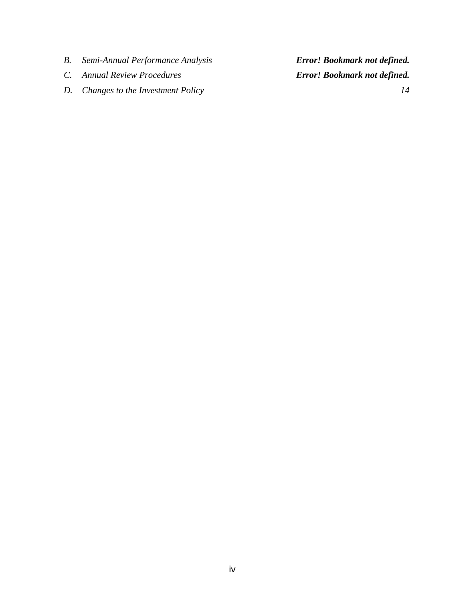- *B. Semi-Annual Performance Analysis Error! Bookmark not defined.*
- 
- *D. [Changes to the Investment Policy 14](#page-17-0)*

*C. Annual Review Procedures Error! Bookmark not defined.*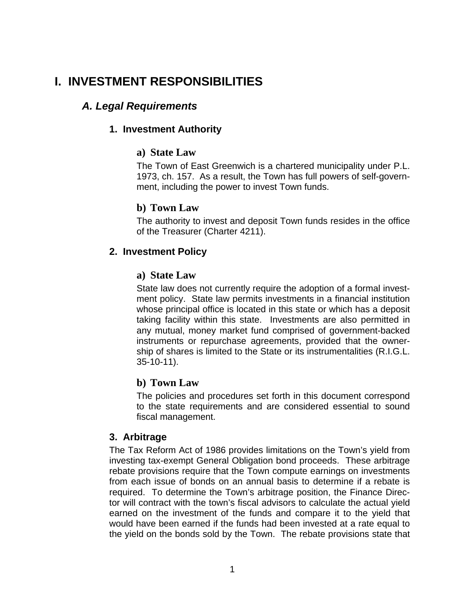# <span id="page-4-0"></span>**I. INVESTMENT RESPONSIBILITIES**

## *A. Legal Requirements*

#### **1. Investment Authority**

#### **a) State Law**

The Town of East Greenwich is a chartered municipality under P.L. 1973, ch. 157. As a result, the Town has full powers of self-government, including the power to invest Town funds.

#### **b) Town Law**

The authority to invest and deposit Town funds resides in the office of the Treasurer (Charter 4211).

#### **2. Investment Policy**

#### **a) State Law**

State law does not currently require the adoption of a formal investment policy. State law permits investments in a financial institution whose principal office is located in this state or which has a deposit taking facility within this state. Investments are also permitted in any mutual, money market fund comprised of government-backed instruments or repurchase agreements, provided that the ownership of shares is limited to the State or its instrumentalities (R.I.G.L. 35-10-11).

## **b) Town Law**

The policies and procedures set forth in this document correspond to the state requirements and are considered essential to sound fiscal management.

#### **3. Arbitrage**

The Tax Reform Act of 1986 provides limitations on the Town's yield from investing tax-exempt General Obligation bond proceeds. These arbitrage rebate provisions require that the Town compute earnings on investments from each issue of bonds on an annual basis to determine if a rebate is required. To determine the Town's arbitrage position, the Finance Director will contract with the town's fiscal advisors to calculate the actual yield earned on the investment of the funds and compare it to the yield that would have been earned if the funds had been invested at a rate equal to the yield on the bonds sold by the Town. The rebate provisions state that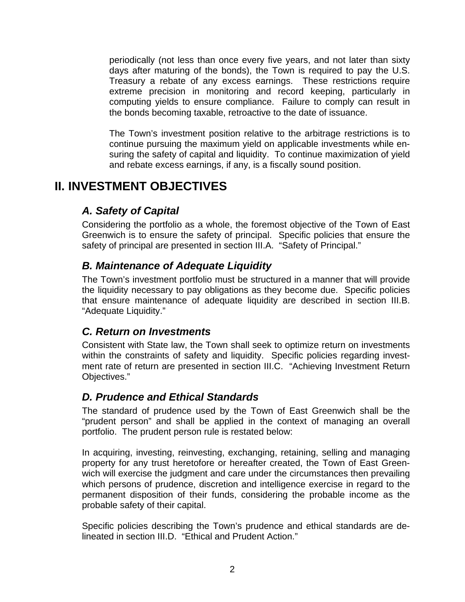<span id="page-5-0"></span>periodically (not less than once every five years, and not later than sixty days after maturing of the bonds), the Town is required to pay the U.S. Treasury a rebate of any excess earnings. These restrictions require extreme precision in monitoring and record keeping, particularly in computing yields to ensure compliance. Failure to comply can result in the bonds becoming taxable, retroactive to the date of issuance.

The Town's investment position relative to the arbitrage restrictions is to continue pursuing the maximum yield on applicable investments while ensuring the safety of capital and liquidity. To continue maximization of yield and rebate excess earnings, if any, is a fiscally sound position.

# **II. INVESTMENT OBJECTIVES**

## *A. Safety of Capital*

Considering the portfolio as a whole, the foremost objective of the Town of East Greenwich is to ensure the safety of principal. Specific policies that ensure the safety of principal are presented in section III.A. "Safety of Principal."

## *B. Maintenance of Adequate Liquidity*

The Town's investment portfolio must be structured in a manner that will provide the liquidity necessary to pay obligations as they become due. Specific policies that ensure maintenance of adequate liquidity are described in section III.B. "Adequate Liquidity."

## *C. Return on Investments*

Consistent with State law, the Town shall seek to optimize return on investments within the constraints of safety and liquidity. Specific policies regarding investment rate of return are presented in section III.C. "Achieving Investment Return Objectives."

## *D. Prudence and Ethical Standards*

The standard of prudence used by the Town of East Greenwich shall be the "prudent person" and shall be applied in the context of managing an overall portfolio. The prudent person rule is restated below:

In acquiring, investing, reinvesting, exchanging, retaining, selling and managing property for any trust heretofore or hereafter created, the Town of East Greenwich will exercise the judgment and care under the circumstances then prevailing which persons of prudence, discretion and intelligence exercise in regard to the permanent disposition of their funds, considering the probable income as the probable safety of their capital.

Specific policies describing the Town's prudence and ethical standards are delineated in section III.D. "Ethical and Prudent Action."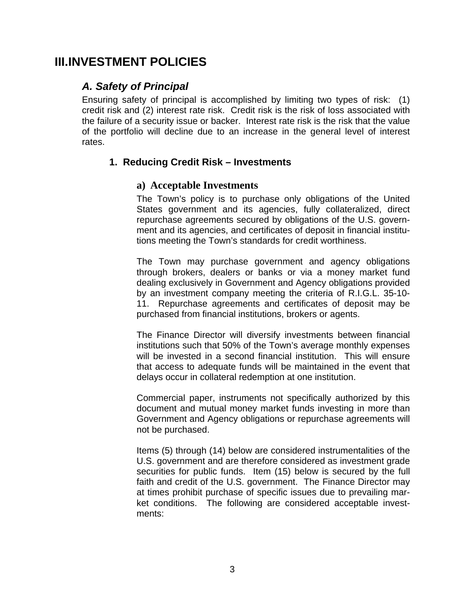## <span id="page-6-0"></span>**III. INVESTMENT POLICIES**

## *A. Safety of Principal*

Ensuring safety of principal is accomplished by limiting two types of risk: (1) credit risk and (2) interest rate risk. Credit risk is the risk of loss associated with the failure of a security issue or backer. Interest rate risk is the risk that the value of the portfolio will decline due to an increase in the general level of interest rates.

## **1. Reducing Credit Risk – Investments**

#### **a) Acceptable Investments**

The Town's policy is to purchase only obligations of the United States government and its agencies, fully collateralized, direct repurchase agreements secured by obligations of the U.S. government and its agencies, and certificates of deposit in financial institutions meeting the Town's standards for credit worthiness.

The Town may purchase government and agency obligations through brokers, dealers or banks or via a money market fund dealing exclusively in Government and Agency obligations provided by an investment company meeting the criteria of R.I.G.L. 35-10- 11. Repurchase agreements and certificates of deposit may be purchased from financial institutions, brokers or agents.

The Finance Director will diversify investments between financial institutions such that 50% of the Town's average monthly expenses will be invested in a second financial institution. This will ensure that access to adequate funds will be maintained in the event that delays occur in collateral redemption at one institution.

Commercial paper, instruments not specifically authorized by this document and mutual money market funds investing in more than Government and Agency obligations or repurchase agreements will not be purchased.

Items (5) through (14) below are considered instrumentalities of the U.S. government and are therefore considered as investment grade securities for public funds. Item (15) below is secured by the full faith and credit of the U.S. government. The Finance Director may at times prohibit purchase of specific issues due to prevailing market conditions. The following are considered acceptable investments: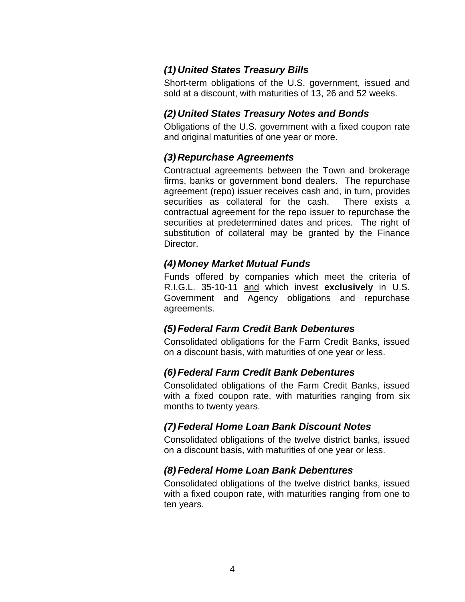## <span id="page-7-0"></span>*(1) United States Treasury Bills*

Short-term obligations of the U.S. government, issued and sold at a discount, with maturities of 13, 26 and 52 weeks.

## *(2) United States Treasury Notes and Bonds*

Obligations of the U.S. government with a fixed coupon rate and original maturities of one year or more.

#### *(3) Repurchase Agreements*

Contractual agreements between the Town and brokerage firms, banks or government bond dealers. The repurchase agreement (repo) issuer receives cash and, in turn, provides securities as collateral for the cash. There exists a contractual agreement for the repo issuer to repurchase the securities at predetermined dates and prices. The right of substitution of collateral may be granted by the Finance Director.

#### *(4) Money Market Mutual Funds*

Funds offered by companies which meet the criteria of R.I.G.L. 35-10-11 and which invest **exclusively** in U.S. Government and Agency obligations and repurchase agreements.

#### *(5) Federal Farm Credit Bank Debentures*

Consolidated obligations for the Farm Credit Banks, issued on a discount basis, with maturities of one year or less.

## *(6) Federal Farm Credit Bank Debentures*

Consolidated obligations of the Farm Credit Banks, issued with a fixed coupon rate, with maturities ranging from six months to twenty years.

## *(7) Federal Home Loan Bank Discount Notes*

Consolidated obligations of the twelve district banks, issued on a discount basis, with maturities of one year or less.

## *(8) Federal Home Loan Bank Debentures*

Consolidated obligations of the twelve district banks, issued with a fixed coupon rate, with maturities ranging from one to ten years.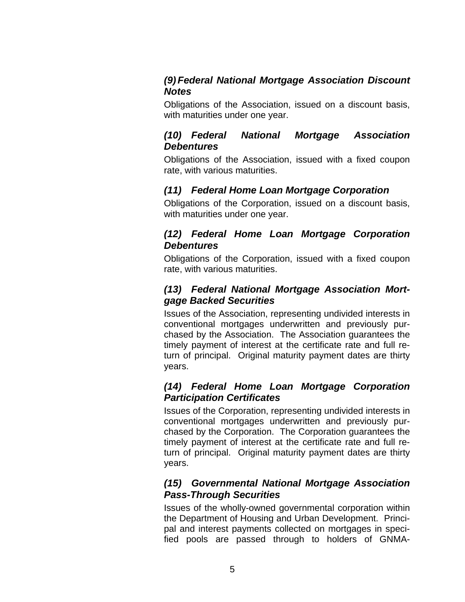### <span id="page-8-0"></span>*(9) Federal National Mortgage Association Discount Notes*

Obligations of the Association, issued on a discount basis, with maturities under one year.

#### *(10) Federal National Mortgage Association Debentures*

Obligations of the Association, issued with a fixed coupon rate, with various maturities.

## *(11) Federal Home Loan Mortgage Corporation*

Obligations of the Corporation, issued on a discount basis, with maturities under one year.

## *(12) Federal Home Loan Mortgage Corporation Debentures*

Obligations of the Corporation, issued with a fixed coupon rate, with various maturities.

## *(13) Federal National Mortgage Association Mortgage Backed Securities*

Issues of the Association, representing undivided interests in conventional mortgages underwritten and previously purchased by the Association. The Association guarantees the timely payment of interest at the certificate rate and full return of principal. Original maturity payment dates are thirty years.

## *(14) Federal Home Loan Mortgage Corporation Participation Certificates*

Issues of the Corporation, representing undivided interests in conventional mortgages underwritten and previously purchased by the Corporation. The Corporation guarantees the timely payment of interest at the certificate rate and full return of principal. Original maturity payment dates are thirty years.

## *(15) Governmental National Mortgage Association Pass-Through Securities*

Issues of the wholly-owned governmental corporation within the Department of Housing and Urban Development. Principal and interest payments collected on mortgages in specified pools are passed through to holders of GNMA-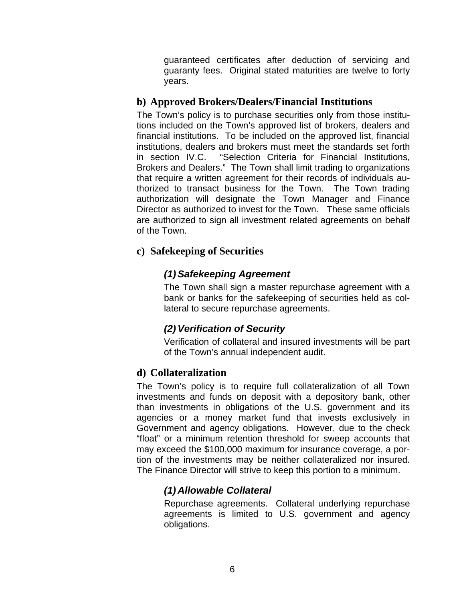guaranteed certificates after deduction of servicing and guaranty fees. Original stated maturities are twelve to forty years.

#### <span id="page-9-0"></span>**b) Approved Brokers/Dealers/Financial Institutions**

The Town's policy is to purchase securities only from those institutions included on the Town's approved list of brokers, dealers and financial institutions. To be included on the approved list, financial institutions, dealers and brokers must meet the standards set forth in section IV.C. "Selection Criteria for Financial Institutions, Brokers and Dealers." The Town shall limit trading to organizations that require a written agreement for their records of individuals authorized to transact business for the Town. The Town trading authorization will designate the Town Manager and Finance Director as authorized to invest for the Town. These same officials are authorized to sign all investment related agreements on behalf of the Town.

#### **c) Safekeeping of Securities**

#### *(1) Safekeeping Agreement*

The Town shall sign a master repurchase agreement with a bank or banks for the safekeeping of securities held as collateral to secure repurchase agreements.

## *(2) Verification of Security*

Verification of collateral and insured investments will be part of the Town's annual independent audit.

#### **d) Collateralization**

The Town's policy is to require full collateralization of all Town investments and funds on deposit with a depository bank, other than investments in obligations of the U.S. government and its agencies or a money market fund that invests exclusively in Government and agency obligations. However, due to the check "float" or a minimum retention threshold for sweep accounts that may exceed the \$100,000 maximum for insurance coverage, a portion of the investments may be neither collateralized nor insured. The Finance Director will strive to keep this portion to a minimum.

## *(1) Allowable Collateral*

Repurchase agreements. Collateral underlying repurchase agreements is limited to U.S. government and agency obligations.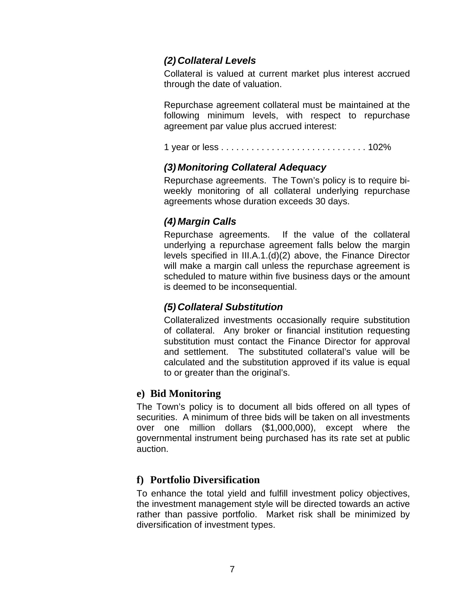## <span id="page-10-0"></span>*(2) Collateral Levels*

Collateral is valued at current market plus interest accrued through the date of valuation.

Repurchase agreement collateral must be maintained at the following minimum levels, with respect to repurchase agreement par value plus accrued interest:

1 year or less . . . . . . . . . . . . . . . . . . . . . . . . . . . . . 102%

## *(3) Monitoring Collateral Adequacy*

Repurchase agreements. The Town's policy is to require biweekly monitoring of all collateral underlying repurchase agreements whose duration exceeds 30 days.

## *(4) Margin Calls*

Repurchase agreements. If the value of the collateral underlying a repurchase agreement falls below the margin levels specified in III.A.1.(d)(2) above, the Finance Director will make a margin call unless the repurchase agreement is scheduled to mature within five business days or the amount is deemed to be inconsequential.

## *(5) Collateral Substitution*

Collateralized investments occasionally require substitution of collateral. Any broker or financial institution requesting substitution must contact the Finance Director for approval and settlement. The substituted collateral's value will be calculated and the substitution approved if its value is equal to or greater than the original's.

## **e) Bid Monitoring**

The Town's policy is to document all bids offered on all types of securities. A minimum of three bids will be taken on all investments over one million dollars (\$1,000,000), except where the governmental instrument being purchased has its rate set at public auction.

## **f) Portfolio Diversification**

To enhance the total yield and fulfill investment policy objectives, the investment management style will be directed towards an active rather than passive portfolio. Market risk shall be minimized by diversification of investment types.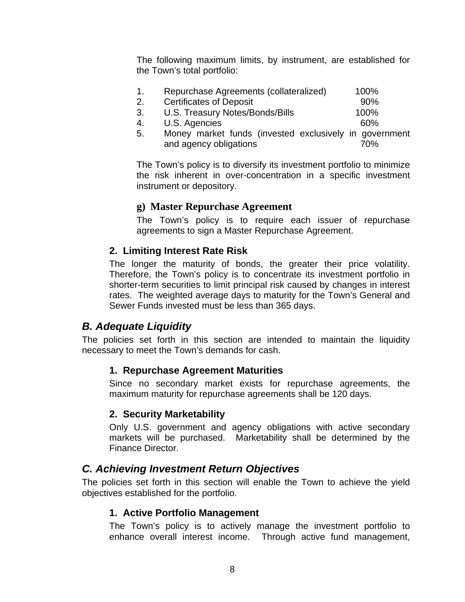<span id="page-11-0"></span>The following maximum limits, by instrument, are established for the Town's total portfolio:

| Repurchase Agreements (collateralized)                             | 100% |
|--------------------------------------------------------------------|------|
| $\mathcal{L}$ . The set of $\mathcal{L}$ is a set of $\mathcal{L}$ |      |

- 2. Certificates of Deposit 600 method of 90% 3. U.S. Treasury Notes/Bonds/Bills 100%
- 4. U.S. Agencies 60%
- 
- 5. Money market funds (invested exclusively in government and agency obligations **70%**

The Town's policy is to diversify its investment portfolio to minimize the risk inherent in over-concentration in a specific investment instrument or depository.

#### **g) Master Repurchase Agreement**

The Town's policy is to require each issuer of repurchase agreements to sign a Master Repurchase Agreement.

#### **2. Limiting Interest Rate Risk**

The longer the maturity of bonds, the greater their price volatility. Therefore, the Town's policy is to concentrate its investment portfolio in shorter-term securities to limit principal risk caused by changes in interest rates. The weighted average days to maturity for the Town's General and Sewer Funds invested must be less than 365 days.

## *B. Adequate Liquidity*

The policies set forth in this section are intended to maintain the liquidity necessary to meet the Town's demands for cash.

## **1. Repurchase Agreement Maturities**

Since no secondary market exists for repurchase agreements, the maximum maturity for repurchase agreements shall be 120 days.

#### **2. Security Marketability**

Only U.S. government and agency obligations with active secondary markets will be purchased. Marketability shall be determined by the Finance Director.

## *C. Achieving Investment Return Objectives*

The policies set forth in this section will enable the Town to achieve the yield objectives established for the portfolio.

#### **1. Active Portfolio Management**

The Town's policy is to actively manage the investment portfolio to enhance overall interest income. Through active fund management,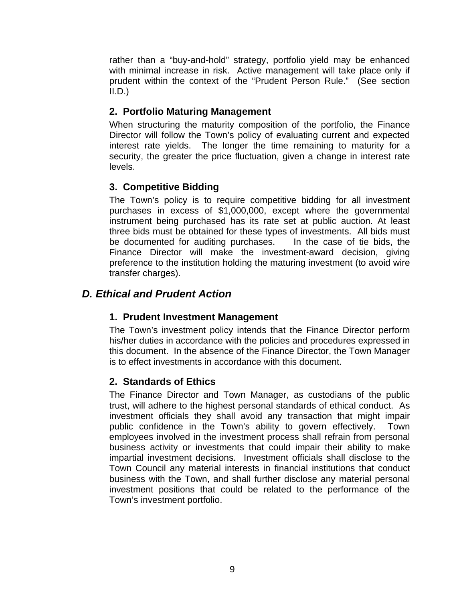<span id="page-12-0"></span>rather than a "buy-and-hold" strategy, portfolio yield may be enhanced with minimal increase in risk. Active management will take place only if prudent within the context of the "Prudent Person Rule." (See section  $II.D.$ )

## **2. Portfolio Maturing Management**

When structuring the maturity composition of the portfolio, the Finance Director will follow the Town's policy of evaluating current and expected interest rate yields. The longer the time remaining to maturity for a security, the greater the price fluctuation, given a change in interest rate levels.

## **3. Competitive Bidding**

The Town's policy is to require competitive bidding for all investment purchases in excess of \$1,000,000, except where the governmental instrument being purchased has its rate set at public auction. At least three bids must be obtained for these types of investments. All bids must be documented for auditing purchases. In the case of tie bids, the Finance Director will make the investment-award decision, giving preference to the institution holding the maturing investment (to avoid wire transfer charges).

## *D. Ethical and Prudent Action*

## **1. Prudent Investment Management**

The Town's investment policy intends that the Finance Director perform his/her duties in accordance with the policies and procedures expressed in this document. In the absence of the Finance Director, the Town Manager is to effect investments in accordance with this document.

## **2. Standards of Ethics**

The Finance Director and Town Manager, as custodians of the public trust, will adhere to the highest personal standards of ethical conduct. As investment officials they shall avoid any transaction that might impair public confidence in the Town's ability to govern effectively. Town employees involved in the investment process shall refrain from personal business activity or investments that could impair their ability to make impartial investment decisions. Investment officials shall disclose to the Town Council any material interests in financial institutions that conduct business with the Town, and shall further disclose any material personal investment positions that could be related to the performance of the Town's investment portfolio.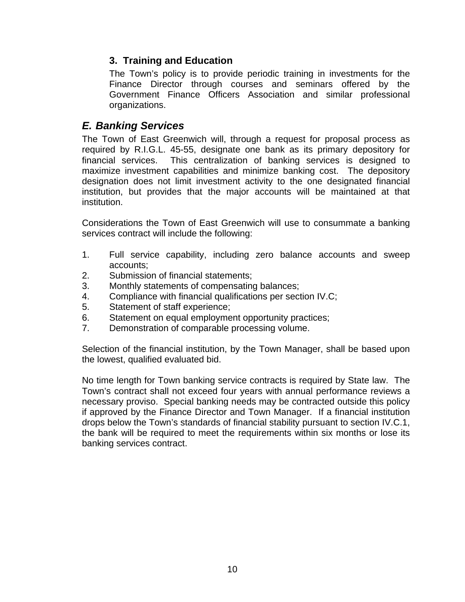## <span id="page-13-0"></span>**3. Training and Education**

The Town's policy is to provide periodic training in investments for the Finance Director through courses and seminars offered by the Government Finance Officers Association and similar professional organizations.

## *E. Banking Services*

The Town of East Greenwich will, through a request for proposal process as required by R.I.G.L. 45-55, designate one bank as its primary depository for financial services. This centralization of banking services is designed to maximize investment capabilities and minimize banking cost. The depository designation does not limit investment activity to the one designated financial institution, but provides that the major accounts will be maintained at that institution.

Considerations the Town of East Greenwich will use to consummate a banking services contract will include the following:

- 1. Full service capability, including zero balance accounts and sweep accounts;
- 2. Submission of financial statements;
- 3. Monthly statements of compensating balances;
- 4. Compliance with financial qualifications per section IV.C;
- 5. Statement of staff experience;
- 6. Statement on equal employment opportunity practices;
- 7. Demonstration of comparable processing volume.

Selection of the financial institution, by the Town Manager, shall be based upon the lowest, qualified evaluated bid.

No time length for Town banking service contracts is required by State law. The Town's contract shall not exceed four years with annual performance reviews a necessary proviso. Special banking needs may be contracted outside this policy if approved by the Finance Director and Town Manager. If a financial institution drops below the Town's standards of financial stability pursuant to section IV.C.1, the bank will be required to meet the requirements within six months or lose its banking services contract.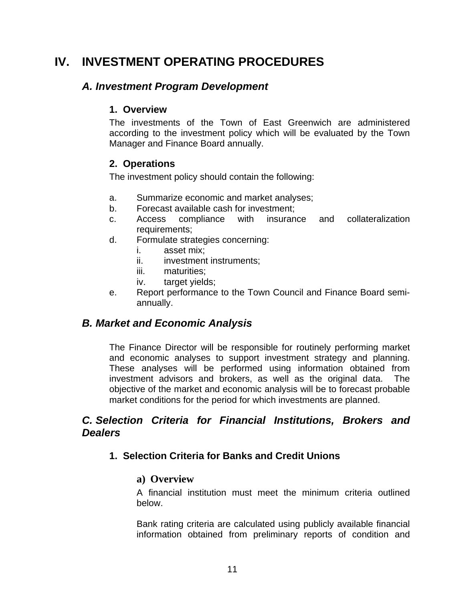# <span id="page-14-0"></span>**IV. INVESTMENT OPERATING PROCEDURES**

## *A. Investment Program Development*

## **1. Overview**

The investments of the Town of East Greenwich are administered according to the investment policy which will be evaluated by the Town Manager and Finance Board annually.

## **2. Operations**

The investment policy should contain the following:

- a. Summarize economic and market analyses;
- b. Forecast available cash for investment;
- c. Access compliance with insurance and collateralization requirements;
- d. Formulate strategies concerning:
	- i. asset mix;
	- ii. investment instruments:
	- iii. maturities;
	- iv. target yields;
- e. Report performance to the Town Council and Finance Board semiannually.

## *B. Market and Economic Analysis*

The Finance Director will be responsible for routinely performing market and economic analyses to support investment strategy and planning. These analyses will be performed using information obtained from investment advisors and brokers, as well as the original data. The objective of the market and economic analysis will be to forecast probable market conditions for the period for which investments are planned.

## *C. Selection Criteria for Financial Institutions, Brokers and Dealers*

## **1. Selection Criteria for Banks and Credit Unions**

## **a) Overview**

A financial institution must meet the minimum criteria outlined below.

Bank rating criteria are calculated using publicly available financial information obtained from preliminary reports of condition and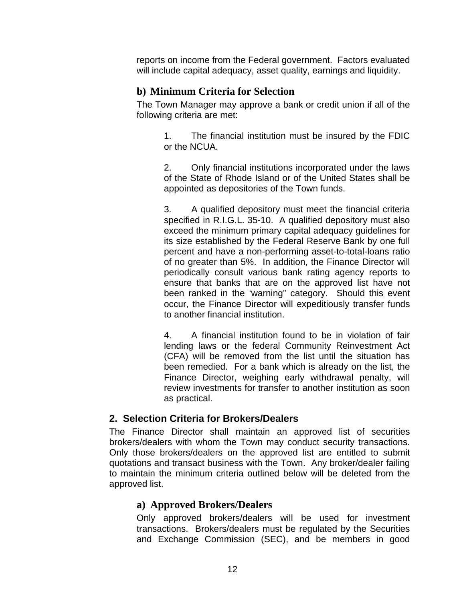<span id="page-15-0"></span>reports on income from the Federal government. Factors evaluated will include capital adequacy, asset quality, earnings and liquidity.

## **b) Minimum Criteria for Selection**

The Town Manager may approve a bank or credit union if all of the following criteria are met:

> 1. The financial institution must be insured by the FDIC or the NCUA.

> 2. Only financial institutions incorporated under the laws of the State of Rhode Island or of the United States shall be appointed as depositories of the Town funds.

> 3. A qualified depository must meet the financial criteria specified in R.I.G.L. 35-10. A qualified depository must also exceed the minimum primary capital adequacy guidelines for its size established by the Federal Reserve Bank by one full percent and have a non-performing asset-to-total-loans ratio of no greater than 5%. In addition, the Finance Director will periodically consult various bank rating agency reports to ensure that banks that are on the approved list have not been ranked in the 'warning" category. Should this event occur, the Finance Director will expeditiously transfer funds to another financial institution.

> 4. A financial institution found to be in violation of fair lending laws or the federal Community Reinvestment Act (CFA) will be removed from the list until the situation has been remedied. For a bank which is already on the list, the Finance Director, weighing early withdrawal penalty, will review investments for transfer to another institution as soon as practical.

#### **2. Selection Criteria for Brokers/Dealers**

The Finance Director shall maintain an approved list of securities brokers/dealers with whom the Town may conduct security transactions. Only those brokers/dealers on the approved list are entitled to submit quotations and transact business with the Town. Any broker/dealer failing to maintain the minimum criteria outlined below will be deleted from the approved list.

## **a) Approved Brokers/Dealers**

Only approved brokers/dealers will be used for investment transactions. Brokers/dealers must be regulated by the Securities and Exchange Commission (SEC), and be members in good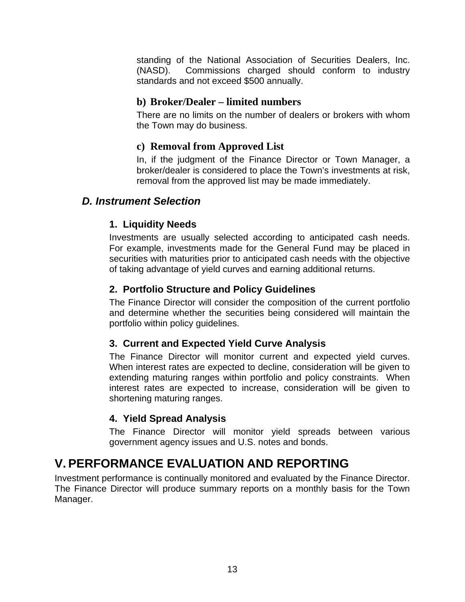<span id="page-16-0"></span>standing of the National Association of Securities Dealers, Inc. (NASD). Commissions charged should conform to industry standards and not exceed \$500 annually.

## **b) Broker/Dealer – limited numbers**

There are no limits on the number of dealers or brokers with whom the Town may do business.

#### **c) Removal from Approved List**

In, if the judgment of the Finance Director or Town Manager, a broker/dealer is considered to place the Town's investments at risk, removal from the approved list may be made immediately.

## *D. Instrument Selection*

## **1. Liquidity Needs**

Investments are usually selected according to anticipated cash needs. For example, investments made for the General Fund may be placed in securities with maturities prior to anticipated cash needs with the objective of taking advantage of yield curves and earning additional returns.

#### **2. Portfolio Structure and Policy Guidelines**

The Finance Director will consider the composition of the current portfolio and determine whether the securities being considered will maintain the portfolio within policy guidelines.

## **3. Current and Expected Yield Curve Analysis**

The Finance Director will monitor current and expected yield curves. When interest rates are expected to decline, consideration will be given to extending maturing ranges within portfolio and policy constraints. When interest rates are expected to increase, consideration will be given to shortening maturing ranges.

## **4. Yield Spread Analysis**

The Finance Director will monitor yield spreads between various government agency issues and U.S. notes and bonds.

# **V. PERFORMANCE EVALUATION AND REPORTING**

Investment performance is continually monitored and evaluated by the Finance Director. The Finance Director will produce summary reports on a monthly basis for the Town Manager.